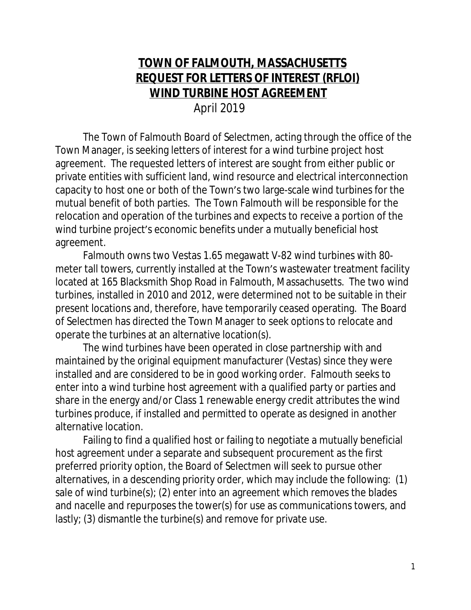## **TOWN OF FALMOUTH, MASSACHUSETTS REQUEST FOR LETTERS OF INTEREST (RFLOI) WIND TURBINE HOST AGREEMENT**

April 2019

The Town of Falmouth Board of Selectmen, acting through the office of the Town Manager, is seeking letters of interest for a wind turbine project host agreement. The requested letters of interest are sought from either public or private entities with sufficient land, wind resource and electrical interconnection capacity to host one or both of the Town's two large-scale wind turbines for the mutual benefit of both parties. The Town Falmouth will be responsible for the relocation and operation of the turbines and expects to receive a portion of the wind turbine project's economic benefits under a mutually beneficial host agreement.

Falmouth owns two Vestas 1.65 megawatt V-82 wind turbines with 80 meter tall towers, currently installed at the Town's wastewater treatment facility located at 165 Blacksmith Shop Road in Falmouth, Massachusetts. The two wind turbines, installed in 2010 and 2012, were determined not to be suitable in their present locations and, therefore, have temporarily ceased operating. The Board of Selectmen has directed the Town Manager to seek options to relocate and operate the turbines at an alternative location(s).

The wind turbines have been operated in close partnership with and maintained by the original equipment manufacturer (Vestas) since they were installed and are considered to be in good working order. Falmouth seeks to enter into a wind turbine host agreement with a qualified party or parties and share in the energy and/or Class 1 renewable energy credit attributes the wind turbines produce, if installed and permitted to operate as designed in another alternative location.

Failing to find a qualified host or failing to negotiate a mutually beneficial host agreement under a separate and subsequent procurement as the first preferred priority option, the Board of Selectmen will seek to pursue other alternatives, in a descending priority order, which may include the following: (1) sale of wind turbine(s); (2) enter into an agreement which removes the blades and nacelle and repurposes the tower(s) for use as communications towers, and lastly; (3) dismantle the turbine(s) and remove for private use.